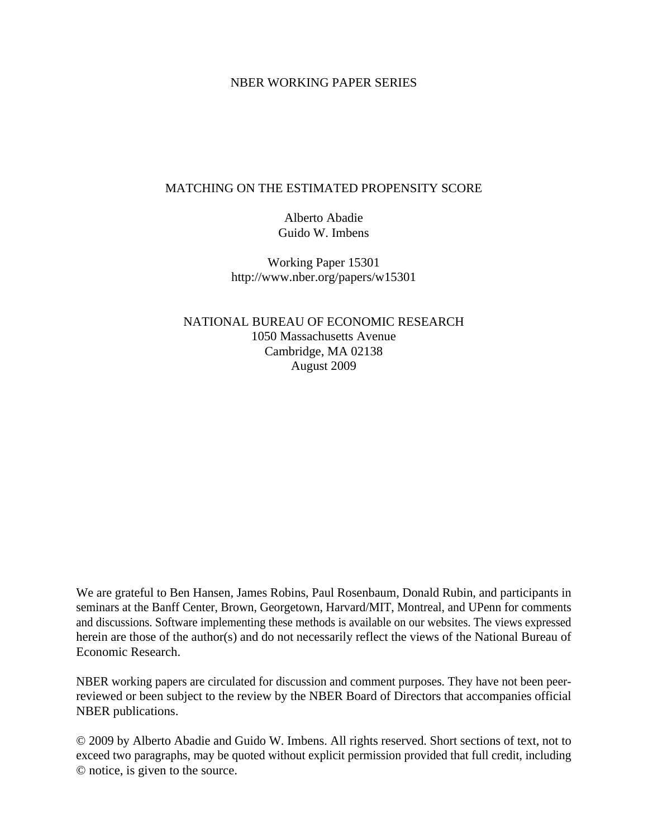# NBER WORKING PAPER SERIES

# MATCHING ON THE ESTIMATED PROPENSITY SCORE

Alberto Abadie Guido W. Imbens

Working Paper 15301 http://www.nber.org/papers/w15301

NATIONAL BUREAU OF ECONOMIC RESEARCH 1050 Massachusetts Avenue Cambridge, MA 02138 August 2009

We are grateful to Ben Hansen, James Robins, Paul Rosenbaum, Donald Rubin, and participants in seminars at the Banff Center, Brown, Georgetown, Harvard/MIT, Montreal, and UPenn for comments and discussions. Software implementing these methods is available on our websites. The views expressed herein are those of the author(s) and do not necessarily reflect the views of the National Bureau of Economic Research.

NBER working papers are circulated for discussion and comment purposes. They have not been peerreviewed or been subject to the review by the NBER Board of Directors that accompanies official NBER publications.

© 2009 by Alberto Abadie and Guido W. Imbens. All rights reserved. Short sections of text, not to exceed two paragraphs, may be quoted without explicit permission provided that full credit, including © notice, is given to the source.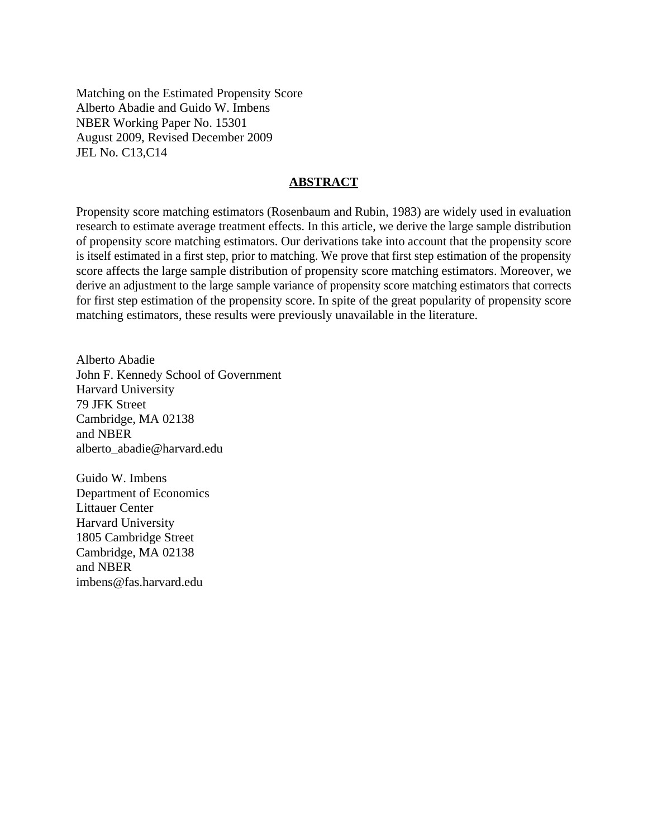Matching on the Estimated Propensity Score Alberto Abadie and Guido W. Imbens NBER Working Paper No. 15301 August 2009, Revised December 2009 JEL No. C13,C14

# **ABSTRACT**

Propensity score matching estimators (Rosenbaum and Rubin, 1983) are widely used in evaluation research to estimate average treatment effects. In this article, we derive the large sample distribution of propensity score matching estimators. Our derivations take into account that the propensity score is itself estimated in a first step, prior to matching. We prove that first step estimation of the propensity score affects the large sample distribution of propensity score matching estimators. Moreover, we derive an adjustment to the large sample variance of propensity score matching estimators that corrects for first step estimation of the propensity score. In spite of the great popularity of propensity score matching estimators, these results were previously unavailable in the literature.

Alberto Abadie John F. Kennedy School of Government Harvard University 79 JFK Street Cambridge, MA 02138 and NBER alberto\_abadie@harvard.edu

Guido W. Imbens Department of Economics Littauer Center Harvard University 1805 Cambridge Street Cambridge, MA 02138 and NBER imbens@fas.harvard.edu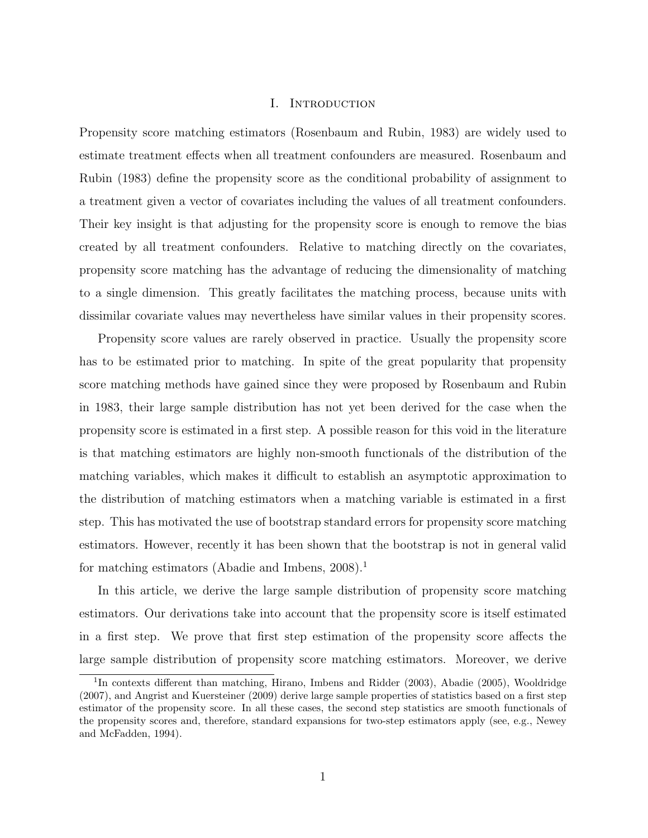### I. Introduction

Propensity score matching estimators (Rosenbaum and Rubin, 1983) are widely used to estimate treatment effects when all treatment confounders are measured. Rosenbaum and Rubin (1983) define the propensity score as the conditional probability of assignment to a treatment given a vector of covariates including the values of all treatment confounders. Their key insight is that adjusting for the propensity score is enough to remove the bias created by all treatment confounders. Relative to matching directly on the covariates, propensity score matching has the advantage of reducing the dimensionality of matching to a single dimension. This greatly facilitates the matching process, because units with dissimilar covariate values may nevertheless have similar values in their propensity scores.

Propensity score values are rarely observed in practice. Usually the propensity score has to be estimated prior to matching. In spite of the great popularity that propensity score matching methods have gained since they were proposed by Rosenbaum and Rubin in 1983, their large sample distribution has not yet been derived for the case when the propensity score is estimated in a first step. A possible reason for this void in the literature is that matching estimators are highly non-smooth functionals of the distribution of the matching variables, which makes it difficult to establish an asymptotic approximation to the distribution of matching estimators when a matching variable is estimated in a first step. This has motivated the use of bootstrap standard errors for propensity score matching estimators. However, recently it has been shown that the bootstrap is not in general valid for matching estimators (Abadie and Imbens, 2008).<sup>1</sup>

In this article, we derive the large sample distribution of propensity score matching estimators. Our derivations take into account that the propensity score is itself estimated in a first step. We prove that first step estimation of the propensity score affects the large sample distribution of propensity score matching estimators. Moreover, we derive

<sup>&</sup>lt;sup>1</sup>In contexts different than matching, Hirano, Imbens and Ridder (2003), Abadie (2005), Wooldridge (2007), and Angrist and Kuersteiner (2009) derive large sample properties of statistics based on a first step estimator of the propensity score. In all these cases, the second step statistics are smooth functionals of the propensity scores and, therefore, standard expansions for two-step estimators apply (see, e.g., Newey and McFadden, 1994).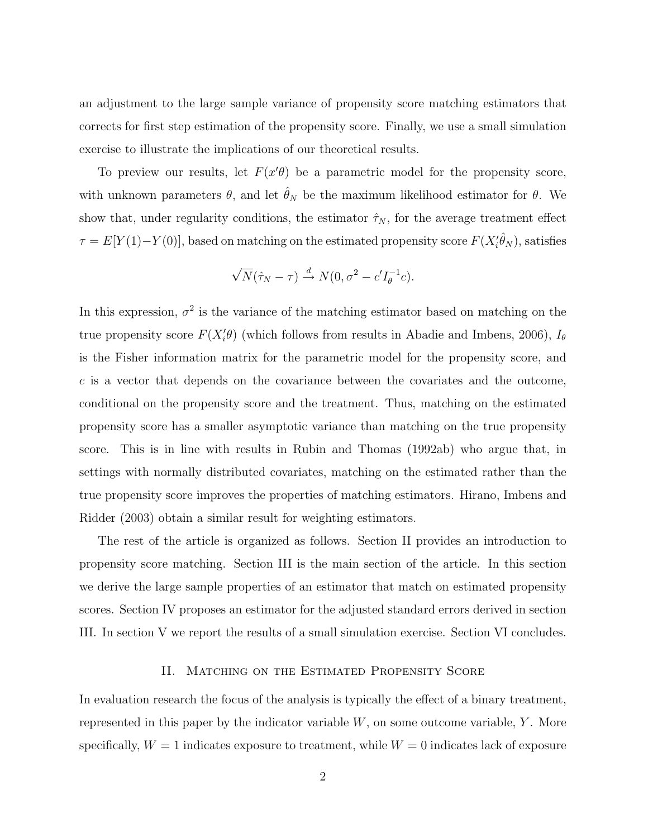an adjustment to the large sample variance of propensity score matching estimators that corrects for first step estimation of the propensity score. Finally, we use a small simulation exercise to illustrate the implications of our theoretical results.

To preview our results, let  $F(x|\theta)$  be a parametric model for the propensity score, with unknown parameters  $\theta$ , and let  $\hat{\theta}_N$  be the maximum likelihood estimator for  $\theta$ . We show that, under regularity conditions, the estimator  $\hat{\tau}_N$ , for the average treatment effect  $\tau = E[Y(1) - Y(0)]$ , based on matching on the estimated propensity score  $F(X_i' \hat{\theta}_N)$ , satisfies

$$
\sqrt{N}(\hat{\tau}_N - \tau) \stackrel{d}{\rightarrow} N(0, \sigma^2 - c'I_{\theta}^{-1}c).
$$

In this expression,  $\sigma^2$  is the variance of the matching estimator based on matching on the true propensity score  $F(X_i' \theta)$  (which follows from results in Abadie and Imbens, 2006),  $I_{\theta}$ is the Fisher information matrix for the parametric model for the propensity score, and c is a vector that depends on the covariance between the covariates and the outcome, conditional on the propensity score and the treatment. Thus, matching on the estimated propensity score has a smaller asymptotic variance than matching on the true propensity score. This is in line with results in Rubin and Thomas (1992ab) who argue that, in settings with normally distributed covariates, matching on the estimated rather than the true propensity score improves the properties of matching estimators. Hirano, Imbens and Ridder (2003) obtain a similar result for weighting estimators.

The rest of the article is organized as follows. Section II provides an introduction to propensity score matching. Section III is the main section of the article. In this section we derive the large sample properties of an estimator that match on estimated propensity scores. Section IV proposes an estimator for the adjusted standard errors derived in section III. In section V we report the results of a small simulation exercise. Section VI concludes.

### II. MATCHING ON THE ESTIMATED PROPENSITY SCORE

In evaluation research the focus of the analysis is typically the effect of a binary treatment, represented in this paper by the indicator variable  $W$ , on some outcome variable,  $Y$ . More specifically,  $W = 1$  indicates exposure to treatment, while  $W = 0$  indicates lack of exposure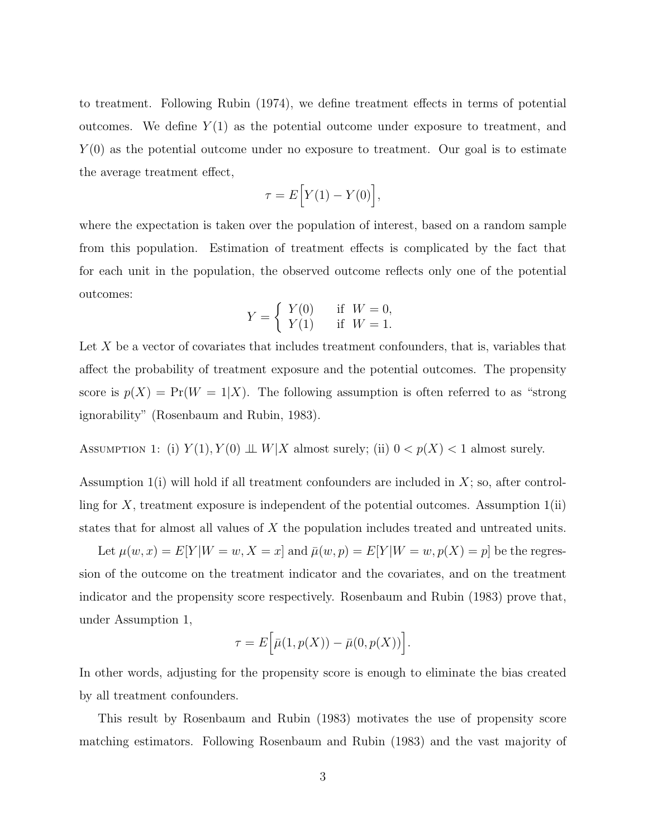to treatment. Following Rubin (1974), we define treatment effects in terms of potential outcomes. We define  $Y(1)$  as the potential outcome under exposure to treatment, and  $Y(0)$  as the potential outcome under no exposure to treatment. Our goal is to estimate the average treatment effect,

$$
\tau = E\Big[Y(1) - Y(0)\Big],
$$

where the expectation is taken over the population of interest, based on a random sample from this population. Estimation of treatment effects is complicated by the fact that for each unit in the population, the observed outcome reflects only one of the potential outcomes:

$$
Y = \begin{cases} Y(0) & \text{if } W = 0, \\ Y(1) & \text{if } W = 1. \end{cases}
$$

Let  $X$  be a vector of covariates that includes treatment confounders, that is, variables that affect the probability of treatment exposure and the potential outcomes. The propensity score is  $p(X) = Pr(W = 1|X)$ . The following assumption is often referred to as "strong" ignorability" (Rosenbaum and Rubin, 1983).

ASSUMPTION 1: (i)  $Y(1), Y(0) \perp W \mid X$  almost surely; (ii)  $0 < p(X) < 1$  almost surely.

Assumption  $1(i)$  will hold if all treatment confounders are included in  $X$ ; so, after controlling for  $X$ , treatment exposure is independent of the potential outcomes. Assumption  $1(ii)$ states that for almost all values of X the population includes treated and untreated units.

Let  $\mu(w, x) = E[Y|W = w, X = x]$  and  $\bar{\mu}(w, p) = E[Y|W = w, p(X) = p]$  be the regression of the outcome on the treatment indicator and the covariates, and on the treatment indicator and the propensity score respectively. Rosenbaum and Rubin (1983) prove that, under Assumption 1,

$$
\tau = E\Big[\bar{\mu}(1, p(X)) - \bar{\mu}(0, p(X))\Big].
$$

In other words, adjusting for the propensity score is enough to eliminate the bias created by all treatment confounders.

This result by Rosenbaum and Rubin (1983) motivates the use of propensity score matching estimators. Following Rosenbaum and Rubin (1983) and the vast majority of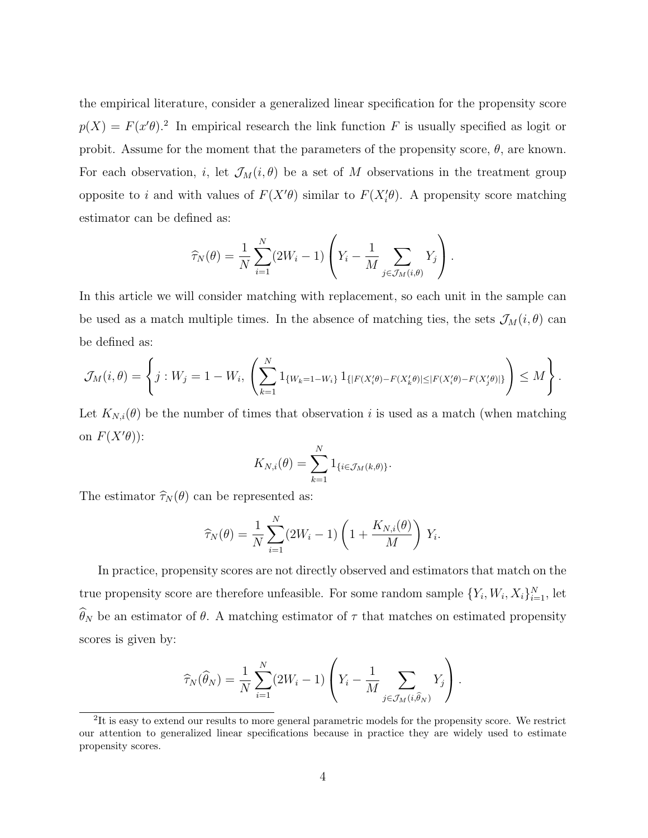the empirical literature, consider a generalized linear specification for the propensity score  $p(X) = F(x^{\prime}\theta)^{2}$  In empirical research the link function F is usually specified as logit or probit. Assume for the moment that the parameters of the propensity score,  $\theta$ , are known. For each observation, i, let  $\mathcal{J}_M(i, \theta)$  be a set of M observations in the treatment group opposite to i and with values of  $F(X' \theta)$  similar to  $F(X'_{i} \theta)$ . A propensity score matching estimator can be defined as:

$$
\widehat{\tau}_N(\theta) = \frac{1}{N} \sum_{i=1}^N (2W_i - 1) \left( Y_i - \frac{1}{M} \sum_{j \in \mathcal{J}_M(i,\theta)} Y_j \right).
$$

In this article we will consider matching with replacement, so each unit in the sample can be used as a match multiple times. In the absence of matching ties, the sets  $\mathcal{J}_M(i, \theta)$  can be defined as:

$$
\mathcal{J}_M(i,\theta) = \left\{ j : W_j = 1 - W_i, \left( \sum_{k=1}^N 1_{\{W_k = 1 - W_i\}} 1_{\{|F(X_i'\theta) - F(X_k'\theta)| \le |F(X_i'\theta) - F(X_j'\theta)|\}} \right) \le M \right\}.
$$

Let  $K_{N,i}(\theta)$  be the number of times that observation i is used as a match (when matching on  $F(X'\theta)$ :

$$
K_{N,i}(\theta) = \sum_{k=1}^N 1_{\{i \in \mathcal{J}_M(k,\theta)\}}.
$$

The estimator  $\hat{\tau}_N (\theta)$  can be represented as:

$$
\widehat{\tau}_N(\theta) = \frac{1}{N} \sum_{i=1}^N (2W_i - 1) \left( 1 + \frac{K_{N,i}(\theta)}{M} \right) Y_i.
$$

In practice, propensity scores are not directly observed and estimators that match on the true propensity score are therefore unfeasible. For some random sample  $\{Y_i, W_i, X_i\}_{i=1}^N$ , let  $\widehat{\theta}_N$  be an estimator of  $\theta$ . A matching estimator of  $\tau$  that matches on estimated propensity scores is given by:

$$
\widehat{\tau}_N(\widehat{\theta}_N) = \frac{1}{N} \sum_{i=1}^N (2W_i - 1) \left( Y_i - \frac{1}{M} \sum_{j \in \mathcal{J}_M(i, \widehat{\theta}_N)} Y_j \right).
$$

 ${}^{2}$ It is easy to extend our results to more general parametric models for the propensity score. We restrict our attention to generalized linear specifications because in practice they are widely used to estimate propensity scores.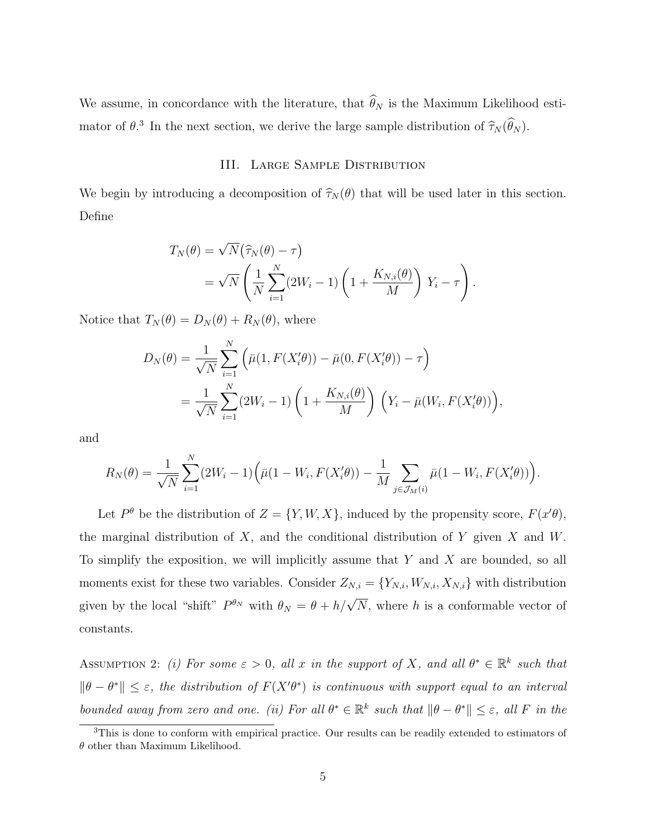We assume, in concordance with the literature, that  $\widehat{\theta}_N$  is the Maximum Likelihood estimator of  $\theta$ .<sup>3</sup> In the next section, we derive the large sample distribution of  $\widehat{\tau}_N(\widehat{\theta}_N)$ .

## III. Large Sample Distribution

We begin by introducing a decomposition of  $\hat{\tau}_N (\theta)$  that will be used later in this section. Define

$$
T_N(\theta) = \sqrt{N} (\widehat{\tau}_N(\theta) - \tau)
$$
  
=  $\sqrt{N} \left( \frac{1}{N} \sum_{i=1}^N (2W_i - 1) \left( 1 + \frac{K_{N,i}(\theta)}{M} \right) Y_i - \tau \right).$ 

Notice that  $T_N(\theta) = D_N(\theta) + R_N(\theta)$ , where

$$
D_N(\theta) = \frac{1}{\sqrt{N}} \sum_{i=1}^N \left( \bar{\mu}(1, F(X_i' \theta)) - \bar{\mu}(0, F(X_i' \theta)) - \tau \right)
$$
  
= 
$$
\frac{1}{\sqrt{N}} \sum_{i=1}^N (2W_i - 1) \left( 1 + \frac{K_{N,i}(\theta)}{M} \right) \left( Y_i - \bar{\mu}(W_i, F(X_i' \theta)) \right),
$$

and

$$
R_N(\theta) = \frac{1}{\sqrt{N}} \sum_{i=1}^N (2W_i - 1) \Big( \bar{\mu}(1 - W_i, F(X_i' \theta)) - \frac{1}{M} \sum_{j \in \mathcal{J}_M(i)} \bar{\mu}(1 - W_i, F(X_i' \theta)) \Big).
$$

Let  $P^{\theta}$  be the distribution of  $Z = \{Y, W, X\}$ , induced by the propensity score,  $F(x' \theta)$ , the marginal distribution of  $X$ , and the conditional distribution of Y given  $X$  and  $W$ . To simplify the exposition, we will implicitly assume that  $Y$  and  $X$  are bounded, so all moments exist for these two variables. Consider  $Z_{N,i} = \{Y_{N,i}, W_{N,i}, X_{N,i}\}$  with distribution given by the local "shift"  $P^{\theta_N}$  with  $\theta_N = \theta + h/\sqrt{N}$ , where h is a conformable vector of constants.

ASSUMPTION 2: (i) For some  $\varepsilon > 0$ , all x in the support of X, and all  $\theta^* \in \mathbb{R}^k$  such that  $\|\theta - \theta^*\| \leq \varepsilon$ , the distribution of  $F(X'\theta^*)$  is continuous with support equal to an interval bounded away from zero and one. (ii) For all  $\theta^* \in \mathbb{R}^k$  such that  $\|\theta - \theta^*\| \leq \varepsilon$ , all F in the

<sup>&</sup>lt;sup>3</sup>This is done to conform with empirical practice. Our results can be readily extended to estimators of  $\theta$  other than Maximum Likelihood.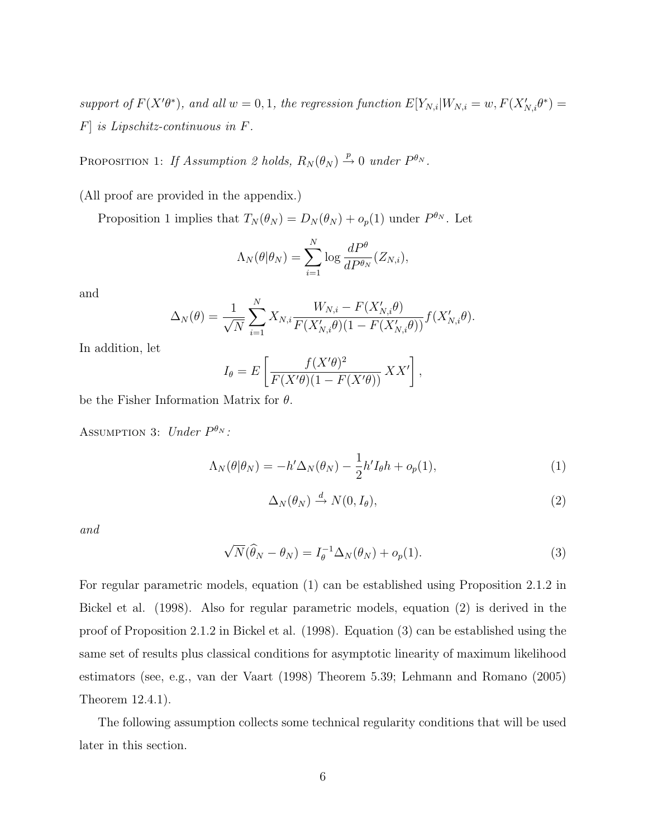support of  $F(X'\theta^*)$ , and all  $w = 0, 1$ , the regression function  $E[Y_{N,i}|W_{N,i} = w, F(X'_{N,i}\theta^*) =$ F] is Lipschitz-continuous in F.

PROPOSITION 1: If Assumption 2 holds,  $R_N(\theta_N) \stackrel{p}{\rightarrow} 0$  under  $P^{\theta_N}$ .

(All proof are provided in the appendix.)

Proposition 1 implies that  $T_N(\theta_N) = D_N(\theta_N) + o_p(1)$  under  $P^{\theta_N}$ . Let

$$
\Lambda_N(\theta|\theta_N) = \sum_{i=1}^N \log \frac{dP^{\theta}}{dP^{\theta_N}}(Z_{N,i}),
$$

and

$$
\Delta_N(\theta) = \frac{1}{\sqrt{N}} \sum_{i=1}^N X_{N,i} \frac{W_{N,i} - F(X'_{N,i}\theta)}{F(X'_{N,i}\theta)(1 - F(X'_{N,i}\theta))} f(X'_{N,i}\theta).
$$

In addition, let

$$
I_{\theta} = E\left[\frac{f(X'\theta)^2}{F(X'\theta)(1 - F(X'\theta))} XX'\right],
$$

be the Fisher Information Matrix for  $\theta$ .

ASSUMPTION 3: Under  $P^{\theta_N}$ :

$$
\Lambda_N(\theta|\theta_N) = -h' \Delta_N(\theta_N) - \frac{1}{2}h' I_\theta h + o_p(1),\tag{1}
$$

$$
\Delta_N(\theta_N) \stackrel{d}{\to} N(0, I_\theta),\tag{2}
$$

and

$$
\sqrt{N}(\widehat{\theta}_N - \theta_N) = I_\theta^{-1} \Delta_N(\theta_N) + o_p(1).
$$
\n(3)

For regular parametric models, equation (1) can be established using Proposition 2.1.2 in Bickel et al. (1998). Also for regular parametric models, equation (2) is derived in the proof of Proposition 2.1.2 in Bickel et al. (1998). Equation (3) can be established using the same set of results plus classical conditions for asymptotic linearity of maximum likelihood estimators (see, e.g., van der Vaart (1998) Theorem 5.39; Lehmann and Romano (2005) Theorem 12.4.1).

The following assumption collects some technical regularity conditions that will be used later in this section.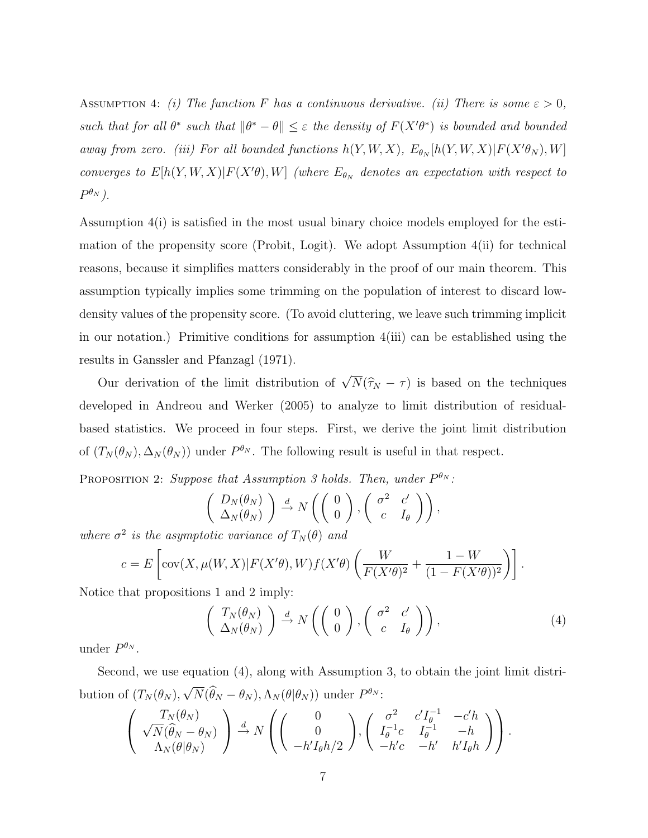ASSUMPTION 4: (i) The function F has a continuous derivative. (ii) There is some  $\varepsilon > 0$ , such that for all  $\theta^*$  such that  $\|\theta^* - \theta\| \leq \varepsilon$  the density of  $F(X'\theta^*)$  is bounded and bounded away from zero. (iii) For all bounded functions  $h(Y, W, X)$ ,  $E_{\theta_N}[h(Y, W, X)|F(X'\theta_N), W]$ converges to  $E[h(Y, W, X) | F(X'\theta), W]$  (where  $E_{\theta_N}$  denotes an expectation with respect to  $P^{\theta_N}$ ).

Assumption 4(i) is satisfied in the most usual binary choice models employed for the estimation of the propensity score (Probit, Logit). We adopt Assumption 4(ii) for technical reasons, because it simplifies matters considerably in the proof of our main theorem. This assumption typically implies some trimming on the population of interest to discard lowdensity values of the propensity score. (To avoid cluttering, we leave such trimming implicit in our notation.) Primitive conditions for assumption  $4(iii)$  can be established using the results in Ganssler and Pfanzagl (1971).

Our derivation of the limit distribution of  $\sqrt$  $N(\hat{\tau}_N - \tau)$  is based on the techniques developed in Andreou and Werker (2005) to analyze to limit distribution of residualbased statistics. We proceed in four steps. First, we derive the joint limit distribution of  $(T_N(\theta_N), \Delta_N(\theta_N))$  under  $P^{\theta_N}$ . The following result is useful in that respect.

PROPOSITION 2: Suppose that Assumption 3 holds. Then, under  $P^{\theta_N}$ :

$$
\left(\begin{array}{c}D_N(\theta_N)\\ \Delta_N(\theta_N)\end{array}\right) \stackrel{d}{\rightarrow} N\left(\left(\begin{array}{c}0\\0\end{array}\right), \left(\begin{array}{cc}\sigma^2 & c'\\c & I_{\theta}\end{array}\right)\right),
$$

where  $\sigma^2$  is the asymptotic variance of  $T_N(\theta)$  and

$$
c = E\left[\text{cov}(X,\mu(W,X)|F(X'\theta),W)f(X'\theta)\left(\frac{W}{F(X'\theta)^2} + \frac{1-W}{(1-F(X'\theta))^2}\right)\right].
$$

Notice that propositions 1 and 2 imply:

$$
\begin{pmatrix}\nT_N(\theta_N) \\
\Delta_N(\theta_N)\n\end{pmatrix}\n\stackrel{d}{\rightarrow} N\left(\begin{pmatrix}\n0 \\
0\n\end{pmatrix},\begin{pmatrix}\n\sigma^2 & c' \\
c & I_\theta\n\end{pmatrix}\right),\n\tag{4}
$$

under  $P^{\theta_N}$ .

Second, we use equation (4), along with Assumption 3, to obtain the joint limit distribution of  $(T_N(\theta_N),$ √  $\overline{N}(\hat{\theta}_N - \theta_N), \Lambda_N(\theta | \theta_N))$  under  $P^{\theta_N}$ :

$$
\begin{pmatrix}\nT_N(\theta_N) \\
\sqrt{N}(\widehat{\theta}_N - \theta_N) \\
\Lambda_N(\theta | \theta_N)\n\end{pmatrix} \stackrel{d}{\rightarrow} N \begin{pmatrix}\n0 \\
0 \\
-h'I_{\theta}h/2\n\end{pmatrix}, \begin{pmatrix}\n\sigma^2 & c'I_{\theta}^{-1} & -c'h \\
I_{\theta}^{-1}c & I_{\theta}^{-1} & -h \\
-h'c & -h' & h'I_{\theta}h\n\end{pmatrix}.
$$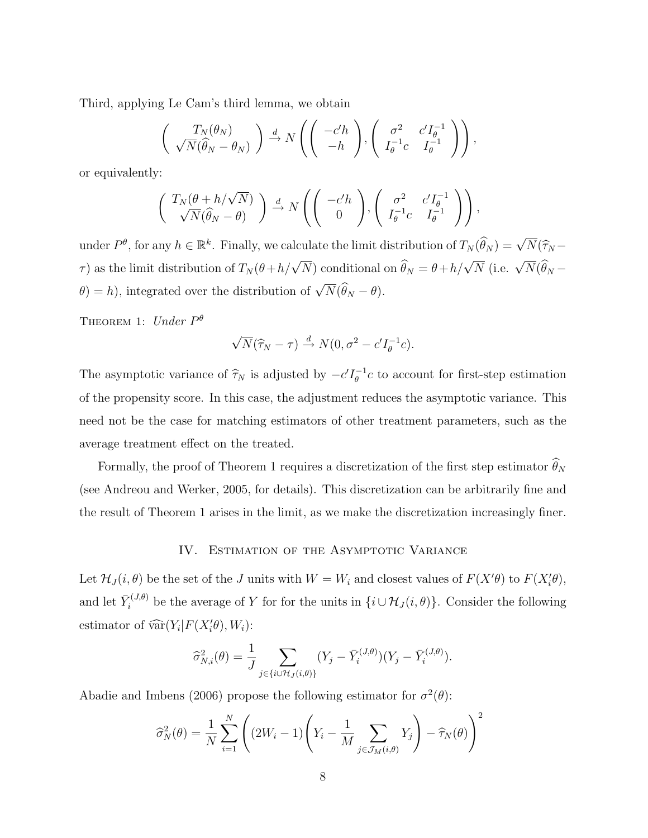Third, applying Le Cam's third lemma, we obtain

$$
\left(\begin{array}{c}T_N(\theta_N)\\ \sqrt{N}(\widehat{\theta}_N-\theta_N)\end{array}\right)\xrightarrow{d} N\left(\left(\begin{array}{c}-c'h\\ -h\end{array}\right),\left(\begin{array}{cc}\sigma^2&c'I_{\theta}^{-1}\\ I_{\theta}^{-1}c&I_{\theta}^{-1}\end{array}\right)\right),
$$

or equivalently:

$$
\begin{pmatrix} T_N(\theta + h/\sqrt{N}) \\ \sqrt{N}(\widehat{\theta}_N - \theta) \end{pmatrix} \stackrel{d}{\rightarrow} N \left( \begin{pmatrix} -c'h \\ 0 \end{pmatrix}, \begin{pmatrix} \sigma^2 & c'I_{\theta}^{-1} \\ I_{\theta}^{-1}c & I_{\theta}^{-1} \end{pmatrix} \right),
$$

under  $P^{\theta}$ , for any  $h \in \mathbb{R}^k$ . Finally, we calculate the limit distribution of  $T_N(\widehat{\theta}_N) = \sqrt{N}(\widehat{\tau}_N - \widehat{\theta}_N)$  $\tau$ ) as the limit distribution of  $T_N(\theta + h/\sqrt{N})$  conditional on  $\widehat{\theta}_N = \theta + h/\sqrt{N}$  (i.e.  $\sqrt{N}(\widehat{\theta}_N - h/\sqrt{N})$ )  $\theta$ ) = h), integrated over the distribution of  $\sqrt{N}(\widehat{\theta}_N - \theta)$ .

THEOREM 1: Under  $P^{\theta}$ 

$$
\sqrt{N}(\widehat{\tau}_N - \tau) \stackrel{d}{\rightarrow} N(0, \sigma^2 - c'I_{\theta}^{-1}c).
$$

The asymptotic variance of  $\hat{\tau}_N$  is adjusted by  $-c'I_{\theta}^{-1}$  $\theta^{-1}_\theta$  to account for first-step estimation of the propensity score. In this case, the adjustment reduces the asymptotic variance. This need not be the case for matching estimators of other treatment parameters, such as the average treatment effect on the treated.

Formally, the proof of Theorem 1 requires a discretization of the first step estimator  $\widehat{\theta}_N$ (see Andreou and Werker, 2005, for details). This discretization can be arbitrarily fine and the result of Theorem 1 arises in the limit, as we make the discretization increasingly finer.

### IV. ESTIMATION OF THE ASYMPTOTIC VARIANCE

Let  $\mathcal{H}_J(i, \theta)$  be the set of the J units with  $W = W_i$  and closest values of  $F(X' \theta)$  to  $F(X'_{i} \theta)$ , and let  $\bar{Y}_i^{(J,\theta)}$  be the average of Y for for the units in  $\{i \cup \mathcal{H}_J(i,\theta)\}\)$ . Consider the following estimator of  $\widehat{\text{var}}(Y_i|F(X_i'\theta), W_i)$ :

$$
\widehat{\sigma}_{N,i}^2(\theta) = \frac{1}{J} \sum_{j \in \{i \cup \mathcal{H}_J(i,\theta)\}} (Y_j - \bar{Y}_i^{(J,\theta)})(Y_j - \bar{Y}_i^{(J,\theta)}).
$$

Abadie and Imbens (2006) propose the following estimator for  $\sigma^2(\theta)$ :

$$
\widehat{\sigma}_N^2(\theta) = \frac{1}{N} \sum_{i=1}^N \left( (2W_i - 1) \left( Y_i - \frac{1}{M} \sum_{j \in \mathcal{J}_M(i,\theta)} Y_j \right) - \widehat{\tau}_N(\theta) \right)^2
$$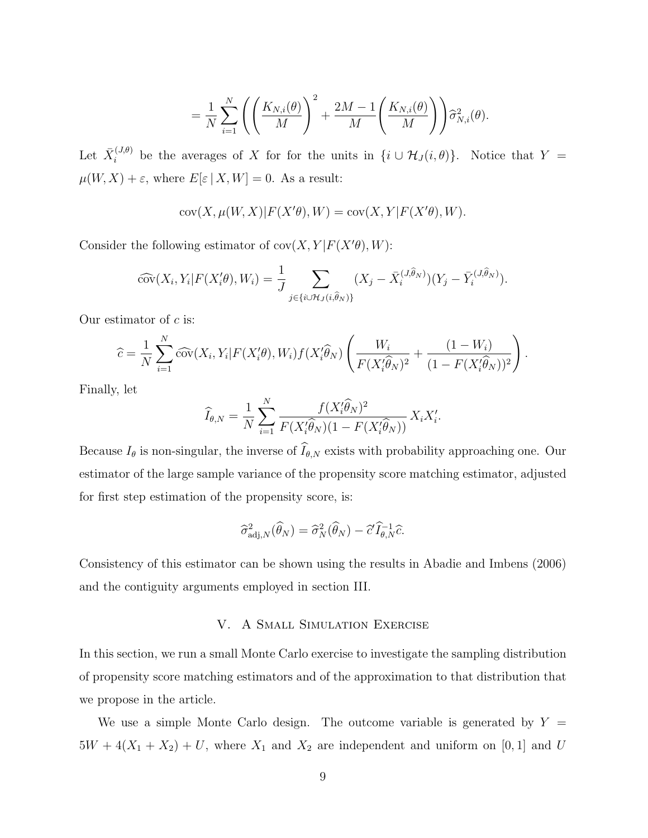$$
= \frac{1}{N}\sum_{i=1}^N\left(\left(\frac{K_{N,i}(\theta)}{M}\right)^2 + \frac{2M-1}{M}\left(\frac{K_{N,i}(\theta)}{M}\right)\right)\widehat{\sigma}_{N,i}^2(\theta).
$$

Let  $\bar{X}_i^{(J,\theta)}$  be the averages of X for for the units in  $\{i \cup \mathcal{H}_J(i,\theta)\}\$ . Notice that  $Y =$  $\mu(W,X)+\varepsilon,$  where  $E[\varepsilon\,|\,X,W]=0.$  As a result:

$$
\text{cov}(X,\mu(W,X)|F(X'\theta),W)=\text{cov}(X,Y|F(X'\theta),W).
$$

Consider the following estimator of  $cov(X, Y | F(X' \theta), W)$ :

$$
\widehat{\text{cov}}(X_i, Y_i | F(X_i' \theta), W_i) = \frac{1}{J} \sum_{j \in \{i \cup \mathcal{H}_J(i, \hat{\theta}_N) \}} (X_j - \bar{X}_i^{(J, \hat{\theta}_N)})(Y_j - \bar{Y}_i^{(J, \hat{\theta}_N)}).
$$

Our estimator of  $c$  is:

$$
\widehat{c} = \frac{1}{N} \sum_{i=1}^{N} \widehat{\text{cov}}(X_i, Y_i | F(X_i' \theta), W_i) f(X_i' \widehat{\theta}_N) \left( \frac{W_i}{F(X_i' \widehat{\theta}_N)^2} + \frac{(1 - W_i)}{(1 - F(X_i' \widehat{\theta}_N))^2} \right).
$$

Finally, let

$$
\widehat{I}_{\theta,N} = \frac{1}{N} \sum_{i=1}^{N} \frac{f(X_i'\widehat{\theta}_N)^2}{F(X_i'\widehat{\theta}_N)(1 - F(X_i'\widehat{\theta}_N))} X_i X_i'.
$$

Because  $I_{\theta}$  is non-singular, the inverse of  $\widehat{I}_{\theta,N}$  exists with probability approaching one. Our estimator of the large sample variance of the propensity score matching estimator, adjusted for first step estimation of the propensity score, is:

$$
\widehat{\sigma}_{\mathrm{adj},N}^2(\widehat{\theta}_N) = \widehat{\sigma}_N^2(\widehat{\theta}_N) - \widehat{c}' \widehat{I}_{\theta,N}^{-1} \widehat{c}.
$$

Consistency of this estimator can be shown using the results in Abadie and Imbens (2006) and the contiguity arguments employed in section III.

# V. A Small Simulation Exercise

In this section, we run a small Monte Carlo exercise to investigate the sampling distribution of propensity score matching estimators and of the approximation to that distribution that we propose in the article.

We use a simple Monte Carlo design. The outcome variable is generated by  $Y =$  $5W + 4(X_1 + X_2) + U$ , where  $X_1$  and  $X_2$  are independent and uniform on [0, 1] and U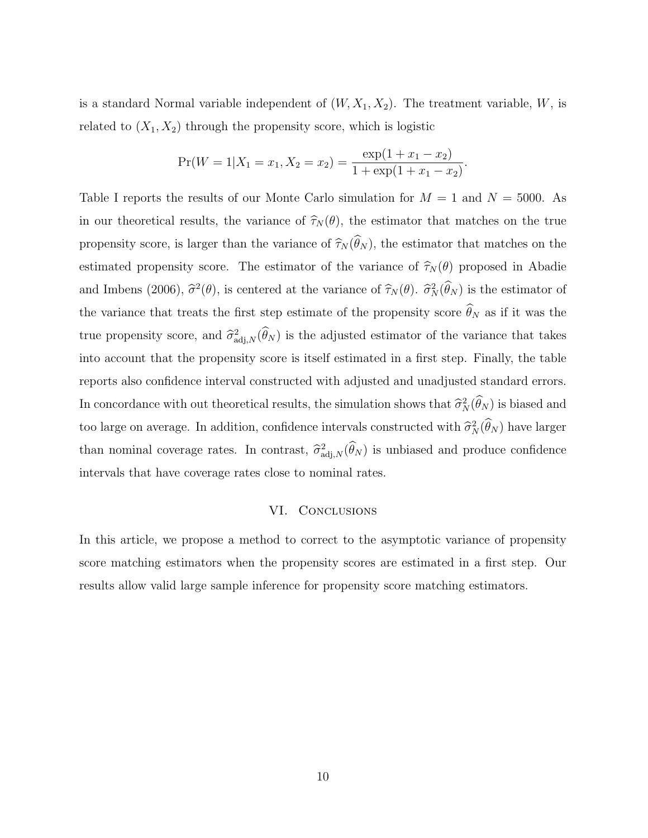is a standard Normal variable independent of  $(W, X_1, X_2)$ . The treatment variable, W, is related to  $(X_1, X_2)$  through the propensity score, which is logistic

$$
Pr(W = 1 | X_1 = x_1, X_2 = x_2) = \frac{exp(1 + x_1 - x_2)}{1 + exp(1 + x_1 - x_2)}.
$$

Table I reports the results of our Monte Carlo simulation for  $M = 1$  and  $N = 5000$ . As in our theoretical results, the variance of  $\hat{\tau}_N(\theta)$ , the estimator that matches on the true propensity score, is larger than the variance of  $\widehat{\tau}_N(\widehat{\theta}_N)$ , the estimator that matches on the estimated propensity score. The estimator of the variance of  $\hat{\tau}_N(\theta)$  proposed in Abadie and Imbens (2006),  $\hat{\sigma}^2(\theta)$ , is centered at the variance of  $\hat{\tau}_N(\theta)$ .  $\hat{\sigma}_N^2(\hat{\theta}_N)$  is the estimator of the variance that treats the first step estimate of the propensity score  $\widehat{\theta}_N$  as if it was the true propensity score, and  $\hat{\sigma}_{\text{adj},N}^2(\hat{\theta}_N)$  is the adjusted estimator of the variance that takes into account that the propensity score is itself estimated in a first step. Finally, the table reports also confidence interval constructed with adjusted and unadjusted standard errors. In concordance with out theoretical results, the simulation shows that  $\hat{\sigma}_N^2(\hat{\theta}_N)$  is biased and too large on average. In addition, confidence intervals constructed with  $\hat{\sigma}_N^2(\hat{\theta}_N)$  have larger than nominal coverage rates. In contrast,  $\hat{\sigma}_{\text{adj},N}^2(\hat{\theta}_N)$  is unbiased and produce confidence intervals that have coverage rates close to nominal rates.

#### VI. Conclusions

In this article, we propose a method to correct to the asymptotic variance of propensity score matching estimators when the propensity scores are estimated in a first step. Our results allow valid large sample inference for propensity score matching estimators.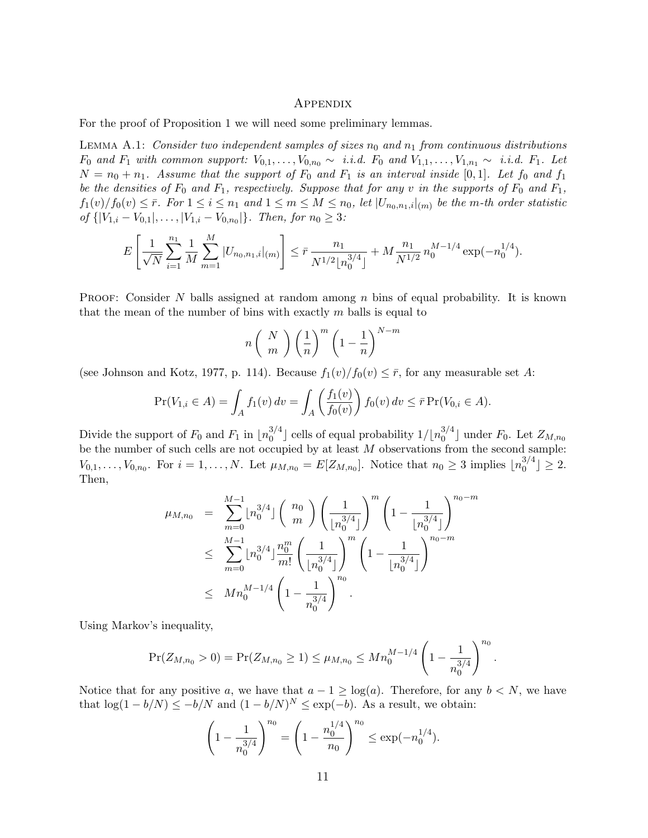#### Appendix

For the proof of Proposition 1 we will need some preliminary lemmas.

LEMMA A.1: Consider two independent samples of sizes  $n_0$  and  $n_1$  from continuous distributions  $F_0$  and  $F_1$  with common support:  $V_{0,1}, \ldots, V_{0,n_0} \sim i.i.d.$   $F_0$  and  $V_{1,1}, \ldots, V_{1,n_1} \sim i.i.d.$   $F_1$ . Let  $N = n_0 + n_1$ . Assume that the support of  $F_0$  and  $F_1$  is an interval inside [0,1]. Let  $f_0$  and  $f_1$ be the densities of  $F_0$  and  $F_1$ , respectively. Suppose that for any v in the supports of  $F_0$  and  $F_1$ ,  $f_1(v)/f_0(v) \leq \bar{r}$ . For  $1 \leq i \leq n_1$  and  $1 \leq m \leq M \leq n_0$ , let  $|U_{n_0,n_1,i}|_{(m)}$  be the m-th order statistic  $of \{ |V_{1,i} - V_{0,1}|, \ldots, |V_{1,i} - V_{0,n_0}| \}.$  Then, for  $n_0 ≥ 3$ :

$$
E\left[\frac{1}{\sqrt{N}}\sum_{i=1}^{n_1}\frac{1}{M}\sum_{m=1}^M|U_{n_0,n_1,i}|_{(m)}\right] \leq \bar{r}\frac{n_1}{N^{1/2}[n_0^{3/4}]} + M\frac{n_1}{N^{1/2}}n_0^{M-1/4}\exp(-n_0^{1/4}).
$$

**PROOF:** Consider N balls assigned at random among n bins of equal probability. It is known that the mean of the number of bins with exactly  $m$  balls is equal to

$$
n\left(\begin{array}{c}N\\m\end{array}\right)\left(\frac{1}{n}\right)^m\left(1-\frac{1}{n}\right)^{N-m}
$$

(see Johnson and Kotz, 1977, p. 114). Because  $f_1(v)/f_0(v) \leq \overline{r}$ , for any measurable set A:

$$
\Pr(V_{1,i} \in A) = \int_A f_1(v) \, dv = \int_A \left(\frac{f_1(v)}{f_0(v)}\right) f_0(v) \, dv \le \bar{r} \Pr(V_{0,i} \in A).
$$

Divide the support of  $F_0$  and  $F_1$  in  $\lfloor n_0^{3/4} \rfloor$  $_0^{3/4}$ ] cells of equal probability  $1/\lfloor n_0^{3/4}$  $\binom{5}{0}^4$  under  $F_0$ . Let  $Z_{M,n_0}$ be the number of such cells are not occupied by at least  $M$  observations from the second sample:  $V_{0,1},\ldots,V_{0,n_0}$ . For  $i=1,\ldots,N$ . Let  $\mu_{M,n_0}=E[Z_{M,n_0}]$ . Notice that  $n_0\geq 3$  implies  $\lfloor n_0^{3/4} \rfloor$  $\binom{5}{0}^4 \geq 2.$ Then,

$$
\mu_{M,n_0} = \sum_{m=0}^{M-1} \lfloor n_0^{3/4} \rfloor \binom{n_0}{m} \left( \frac{1}{\lfloor n_0^{3/4} \rfloor} \right)^m \left( 1 - \frac{1}{\lfloor n_0^{3/4} \rfloor} \right)^{n_0 - m}
$$
  

$$
\leq \sum_{m=0}^{M-1} \lfloor n_0^{3/4} \rfloor \frac{n_0^m}{m!} \left( \frac{1}{\lfloor n_0^{3/4} \rfloor} \right)^m \left( 1 - \frac{1}{\lfloor n_0^{3/4} \rfloor} \right)^{n_0 - m}
$$
  

$$
\leq M n_0^{M-1/4} \left( 1 - \frac{1}{n_0^{3/4}} \right)^{n_0}.
$$

Using Markov's inequality,

$$
\Pr(Z_{M,n_0} > 0) = \Pr(Z_{M,n_0} \ge 1) \le \mu_{M,n_0} \le Mn_0^{M-1/4} \left(1 - \frac{1}{n_0^{3/4}}\right)^{n_0}.
$$

Notice that for any positive a, we have that  $a - 1 \geq \log(a)$ . Therefore, for any  $b < N$ , we have that  $\log(1 - b/N) \leq -b/N$  and  $(1 - b/N)^N \leq \exp(-b)$ . As a result, we obtain:

$$
\left(1 - \frac{1}{n_0^{3/4}}\right)^{n_0} = \left(1 - \frac{n_0^{1/4}}{n_0}\right)^{n_0} \le \exp(-n_0^{1/4}).
$$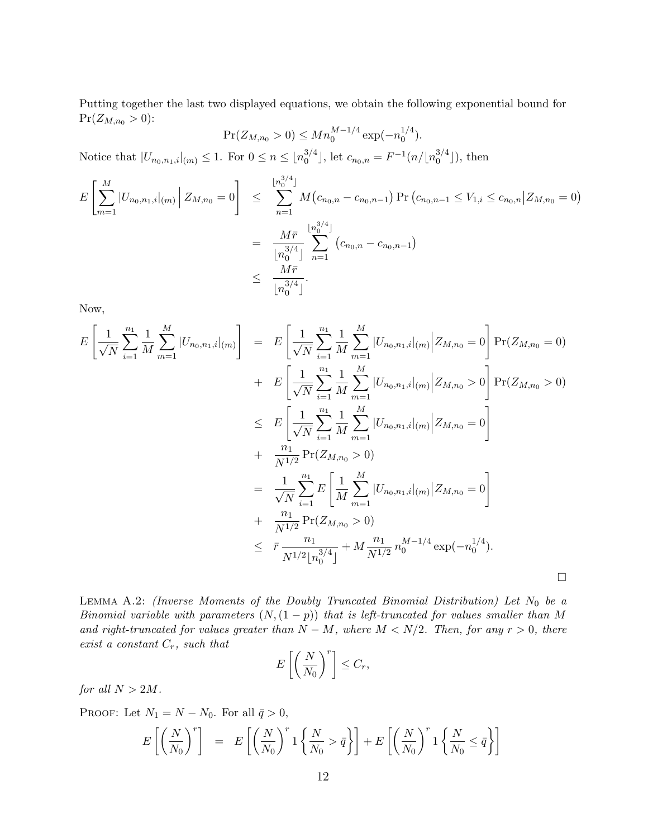Putting together the last two displayed equations, we obtain the following exponential bound for  $Pr(Z_{M,n_0} > 0)$ :

$$
Pr(Z_{M,n_0} > 0) \leq Mn_0^{M-1/4} \exp(-n_0^{1/4}).
$$

Notice that  $|U_{n_0,n_1,i}|_{(m)} \leq 1$ . For  $0 \leq n \leq \lfloor n_0^{3/4} \rfloor$  $\binom{3}{0}$ , let  $c_{n_0,n} = F^{-1}(n/\lfloor n_0^{3/4} \rfloor)$  $\binom{5}{0}^4$ ), then

$$
E\left[\sum_{m=1}^{M} |U_{n_0,n_1,i}|_{(m)}\middle| Z_{M,n_0} = 0\right] \leq \sum_{n=1}^{\lfloor n_0^{3/4} \rfloor} M(c_{n_0,n} - c_{n_0,n-1}) \Pr(c_{n_0,n-1} \leq V_{1,i} \leq c_{n_0,n} | Z_{M,n_0} = 0)
$$
  

$$
= \frac{M\bar{r}}{\lfloor n_0^{3/4} \rfloor} \sum_{n=1}^{\lfloor n_0^{3/4} \rfloor} (c_{n_0,n} - c_{n_0,n-1})
$$
  

$$
\leq \frac{M\bar{r}}{\lfloor n_0^{3/4} \rfloor}.
$$

Now,

$$
E\left[\frac{1}{\sqrt{N}}\sum_{i=1}^{n_1}\frac{1}{M}\sum_{m=1}^{M}|U_{n_0,n_1,i}|(m)\right] = E\left[\frac{1}{\sqrt{N}}\sum_{i=1}^{n_1}\frac{1}{M}\sum_{m=1}^{M}|U_{n_0,n_1,i}|(m)|Z_{M,n_0} = 0\right]Pr(Z_{M,n_0} = 0)
$$
  
+ 
$$
E\left[\frac{1}{\sqrt{N}}\sum_{i=1}^{n_1}\frac{1}{M}\sum_{m=1}^{M}|U_{n_0,n_1,i}|(m)|Z_{M,n_0} > 0\right]Pr(Z_{M,n_0} > 0)
$$
  

$$
\leq E\left[\frac{1}{\sqrt{N}}\sum_{i=1}^{n_1}\frac{1}{M}\sum_{m=1}^{M}|U_{n_0,n_1,i}|(m)|Z_{M,n_0} = 0\right]
$$
  
+ 
$$
\frac{n_1}{N^{1/2}}Pr(Z_{M,n_0} > 0)
$$
  
= 
$$
\frac{1}{\sqrt{N}}\sum_{i=1}^{n_1}E\left[\frac{1}{M}\sum_{m=1}^{M}|U_{n_0,n_1,i}|(m)|Z_{M,n_0} = 0\right]
$$
  
+ 
$$
\frac{n_1}{N^{1/2}}Pr(Z_{M,n_0} > 0)
$$
  

$$
\leq \overline{r}\frac{n_1}{N^{1/2}[n_0^{3/4}]} + M\frac{n_1}{N^{1/2}}n_0^{M-1/4}\exp(-n_0^{1/4}).
$$

LEMMA A.2: (Inverse Moments of the Doubly Truncated Binomial Distribution) Let  $N_0$  be a Binomial variable with parameters  $(N,(1-p))$  that is left-truncated for values smaller than M and right-truncated for values greater than  $N - M$ , where  $M < N/2$ . Then, for any  $r > 0$ , there exist a constant  $C_r$ , such that

$$
E\left[\left(\frac{N}{N_0}\right)^r\right] \leq C_r,
$$

for all  $N > 2M$ .

PROOF: Let  $N_1 = N - N_0$ . For all  $\bar{q} > 0$ ,

$$
E\left[\left(\frac{N}{N_0}\right)^r\right] = E\left[\left(\frac{N}{N_0}\right)^r 1\left\{\frac{N}{N_0} > \bar{q}\right\}\right] + E\left[\left(\frac{N}{N_0}\right)^r 1\left\{\frac{N}{N_0} \leq \bar{q}\right\}\right]
$$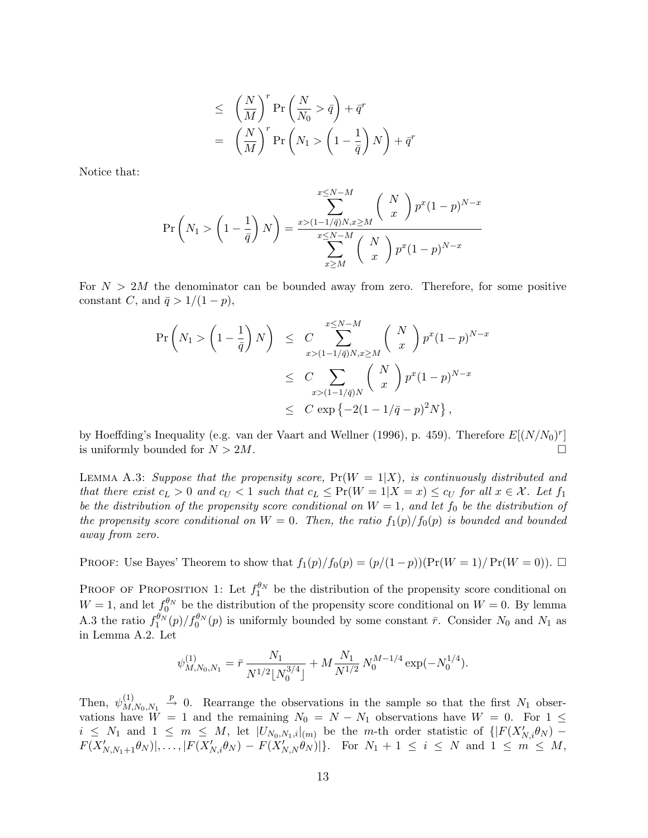$$
\leq \left(\frac{N}{M}\right)^r \Pr\left(\frac{N}{N_0} > \bar{q}\right) + \bar{q}^r
$$
  
= 
$$
\left(\frac{N}{M}\right)^r \Pr\left(N_1 > \left(1 - \frac{1}{\bar{q}}\right)N\right) + \bar{q}^r
$$

Notice that:

$$
\Pr\left(N_1 > \left(1 - \frac{1}{\bar{q}}\right)N\right) = \frac{\sum_{x \le N-M}^{x \le N-M} \binom{N}{x} p^x (1-p)^{N-x}}{\sum_{x \ge N-M}^{x \le N-M} \binom{N}{x} p^x (1-p)^{N-x}}
$$

For  $N > 2M$  the denominator can be bounded away from zero. Therefore, for some positive constant C, and  $\bar{q} > 1/(1-p)$ ,

$$
\Pr\left(N_1 > \left(1 - \frac{1}{\bar{q}}\right)N\right) \leq C \sum_{x > (1 - 1/\bar{q})N, x \geq M}^{x \leq N - M} \left(\begin{array}{c} N \\ x \end{array}\right) p^x (1 - p)^{N - x}
$$
\n
$$
\leq C \sum_{x > (1 - 1/\bar{q})N} \left(\begin{array}{c} N \\ x \end{array}\right) p^x (1 - p)^{N - x}
$$
\n
$$
\leq C \exp\left\{-2(1 - 1/\bar{q} - p)^2 N\right\},
$$

by Hoeffding's Inequality (e.g. van der Vaart and Wellner (1996), p. 459). Therefore  $E[(N/N_0)^r]$ is uniformly bounded for  $N > 2M$ .

LEMMA A.3: Suppose that the propensity score,  $Pr(W = 1|X)$ , is continuously distributed and that there exist  $c_L > 0$  and  $c_U < 1$  such that  $c_L \le Pr(W = 1 | X = x) \le c_U$  for all  $x \in \mathcal{X}$ . Let  $f_1$ be the distribution of the propensity score conditional on  $W = 1$ , and let  $f_0$  be the distribution of the propensity score conditional on  $W = 0$ . Then, the ratio  $f_1(p)/f_0(p)$  is bounded and bounded away from zero.

PROOF: Use Bayes' Theorem to show that  $f_1(p)/f_0(p) = (p/(1-p))(Pr(W = 1)/Pr(W = 0)).$ 

**PROOF OF PROPOSITION 1:** Let  $f_1^{\theta_N}$  be the distribution of the propensity score conditional on  $W = 1$ , and let  $f_0^{\theta_N}$  be the distribution of the propensity score conditional on  $W = 0$ . By lemma A.3 the ratio  $f_1^{\theta_N}(p)/f_0^{\theta_N}(p)$  is uniformly bounded by some constant  $\bar{r}$ . Consider  $N_0$  and  $N_1$  as in Lemma A.2. Let

$$
\psi_{M,N_0,N_1}^{(1)} = \bar{r} \frac{N_1}{N^{1/2} \lfloor N_0^{3/4} \rfloor} + M \frac{N_1}{N^{1/2}} N_0^{M-1/4} \exp(-N_0^{1/4}).
$$

Then,  $\psi_M^{(1)}$  $M_{M,N_0,N_1}^{(1)} \stackrel{p}{\rightarrow} 0$ . Rearrange the observations in the sample so that the first  $N_1$  observations have  $W = 1$  and the remaining  $N_0 = N - N_1$  observations have  $W = 0$ . For  $1 \leq$  $i \leq N_1$  and  $1 \leq m \leq M$ , let  $|U_{N_0,N_1,i}|_{(m)}$  be the m-th order statistic of  $\{|F(X'_{N,i}\theta_N) F(X'_{N,N_1+1}\theta_N)|, \ldots, |F(X'_{N,i}\theta_N) - F(X'_{N,N}\theta_N)|\}.$  For  $N_1 + 1 \leq i \leq N$  and  $1 \leq m \leq M$ ,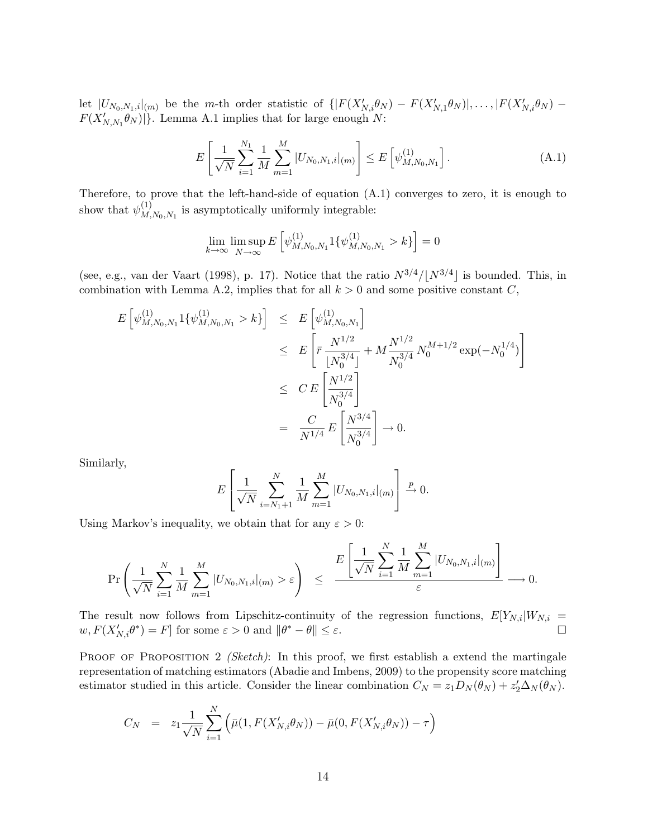let  $|U_{N_0,N_1,i}|_{(m)}$  be the m-th order statistic of  $\{ |F(X'_{N,i}\theta_N) - F(X'_{N,1}\theta_N)|, \ldots, |F(X'_{N,i}\theta_N) - F(X'_{N,i}\theta_N)|\}$  $F(X'_{N,N_1}\theta_N)|$ . Lemma A.1 implies that for large enough N:

$$
E\left[\frac{1}{\sqrt{N}}\sum_{i=1}^{N_1}\frac{1}{M}\sum_{m=1}^M|U_{N_0,N_1,i}|_{(m)}\right]\leq E\left[\psi_{M,N_0,N_1}^{(1)}\right].\tag{A.1}
$$

Therefore, to prove that the left-hand-side of equation (A.1) converges to zero, it is enough to show that  $\psi_M^{(1)}$  $M_{M,N_0,N_1}^{(1)}$  is asymptotically uniformly integrable:

$$
\lim_{k \to \infty} \limsup_{N \to \infty} E\left[\psi_{M,N_0,N_1}^{(1)} 1\{\psi_{M,N_0,N_1}^{(1)} > k\}\right] = 0
$$

(see, e.g., van der Vaart (1998), p. 17). Notice that the ratio  $N^{3/4}/|N^{3/4}|$  is bounded. This, in combination with Lemma A.2, implies that for all  $k > 0$  and some positive constant  $C$ ,

$$
E\left[\psi_{M,N_0,N_1}^{(1)} 1\{\psi_{M,N_0,N_1}^{(1)} > k\}\right] \leq E\left[\psi_{M,N_0,N_1}^{(1)}\right]
$$
  
\n
$$
\leq E\left[\bar{r}\frac{N^{1/2}}{\lfloor N_0^{3/4} \rfloor} + M\frac{N^{1/2}}{N_0^{3/4}}N_0^{M+1/2}\exp(-N_0^{1/4})\right]
$$
  
\n
$$
\leq CE\left[\frac{N^{1/2}}{N_0^{3/4}}\right]
$$
  
\n
$$
= \frac{C}{N^{1/4}}E\left[\frac{N^{3/4}}{N_0^{3/4}}\right] \to 0.
$$

Similarly,

$$
E\left[\frac{1}{\sqrt{N}}\sum_{i=N_1+1}^{N}\frac{1}{M}\sum_{m=1}^{M}|U_{N_0,N_1,i}|_{(m)}\right] \xrightarrow{p} 0.
$$

Using Markov's inequality, we obtain that for any  $\varepsilon > 0$ :

$$
\Pr\left(\frac{1}{\sqrt{N}}\sum_{i=1}^N\frac{1}{M}\sum_{m=1}^M|U_{N_0,N_1,i}|(m)>\varepsilon\right) \leq \frac{E\left[\frac{1}{\sqrt{N}}\sum_{i=1}^N\frac{1}{M}\sum_{m=1}^M|U_{N_0,N_1,i}|(m)\right]}{\varepsilon}\longrightarrow 0.
$$

The result now follows from Lipschitz-continuity of the regression functions,  $E[Y_{N,i}|W_{N,i}]$  $w, F(X'_{N,i}\theta^*) = F$  for some  $\varepsilon > 0$  and  $\|\theta^* - \theta\| \le \varepsilon$ .

PROOF OF PROPOSITION 2 (Sketch): In this proof, we first establish a extend the martingale representation of matching estimators (Abadie and Imbens, 2009) to the propensity score matching estimator studied in this article. Consider the linear combination  $C_N = z_1 D_N(\theta_N) + z_2' \Delta_N(\theta_N)$ .

$$
C_N = z_1 \frac{1}{\sqrt{N}} \sum_{i=1}^N \left( \bar{\mu}(1, F(X'_{N,i}\theta_N)) - \bar{\mu}(0, F(X'_{N,i}\theta_N)) - \tau \right)
$$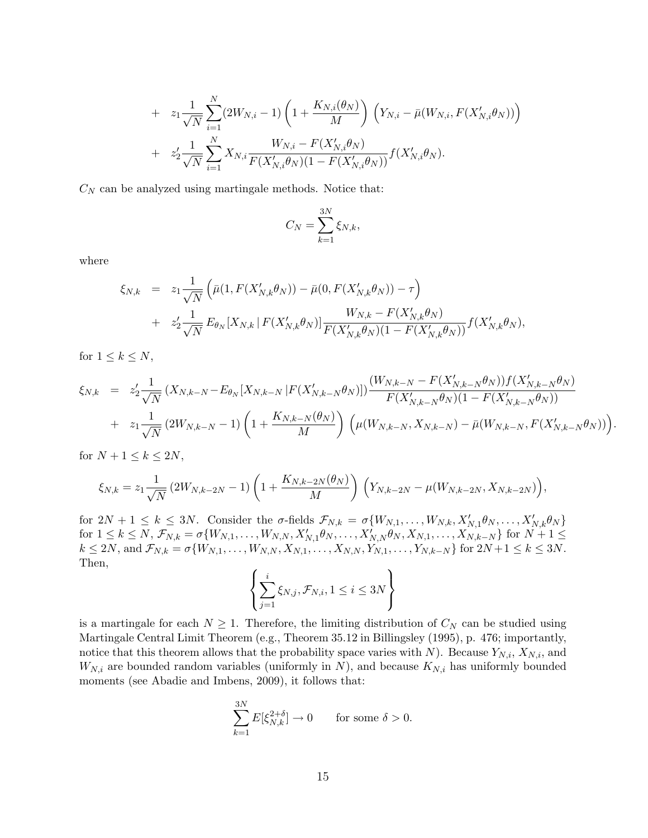+ 
$$
z_1 \frac{1}{\sqrt{N}} \sum_{i=1}^N (2W_{N,i} - 1) \left( 1 + \frac{K_{N,i}(\theta_N)}{M} \right) \left( Y_{N,i} - \bar{\mu}(W_{N,i}, F(X'_{N,i}\theta_N)) \right)
$$
  
+  $z'_2 \frac{1}{\sqrt{N}} \sum_{i=1}^N X_{N,i} \frac{W_{N,i} - F(X'_{N,i}\theta_N)}{F(X'_{N,i}\theta_N)(1 - F(X'_{N,i}\theta_N))} f(X'_{N,i}\theta_N).$ 

 $C_N$  can be analyzed using martingale methods. Notice that:

$$
C_N = \sum_{k=1}^{3N} \xi_{N,k},
$$

where

$$
\xi_{N,k} = z_1 \frac{1}{\sqrt{N}} \left( \bar{\mu}(1, F(X'_{N,k} \theta_N)) - \bar{\mu}(0, F(X'_{N,k} \theta_N)) - \tau \right) \n+ z'_2 \frac{1}{\sqrt{N}} E_{\theta_N} [X_{N,k} | F(X'_{N,k} \theta_N)] \frac{W_{N,k} - F(X'_{N,k} \theta_N)}{F(X'_{N,k} \theta_N)(1 - F(X'_{N,k} \theta_N))} f(X'_{N,k} \theta_N),
$$

for  $1 \leq k \leq N$ ,

$$
\xi_{N,k} = z_2' \frac{1}{\sqrt{N}} \left( X_{N,k-N} - E_{\theta_N} [X_{N,k-N} | F(X'_{N,k-N} \theta_N) ] \right) \frac{(W_{N,k-N} - F(X'_{N,k-N} \theta_N)) f(X'_{N,k-N} \theta_N)}{F(X'_{N,k-N} \theta_N) (1 - F(X'_{N,k-N} \theta_N))} + z_1 \frac{1}{\sqrt{N}} \left( 2W_{N,k-N} - 1 \right) \left( 1 + \frac{K_{N,k-N}(\theta_N)}{M} \right) \left( \mu(W_{N,k-N}, X_{N,k-N}) - \bar{\mu}(W_{N,k-N}, F(X'_{N,k-N} \theta_N)) \right).
$$

for  $N+1 \leq k \leq 2N$ ,

$$
\xi_{N,k} = z_1 \frac{1}{\sqrt{N}} \left( 2W_{N,k-2N} - 1 \right) \left( 1 + \frac{K_{N,k-2N}(\theta_N)}{M} \right) \left( Y_{N,k-2N} - \mu(W_{N,k-2N}, X_{N,k-2N}) \right),
$$

for  $2N+1 \leq k \leq 3N$ . Consider the  $\sigma$ -fields  $\mathcal{F}_{N,k} = \sigma\{W_{N,1}, \ldots, W_{N,k}, X'_{N,1}\theta_N, \ldots, X'_{N,k}\theta_N\}$  $\text{for } 1 \leq k \leq N, \, \mathcal{F}_{N,k} = \sigma\{W_{N,1}, \ldots, W_{N,N}, X'_{N,1}\theta_N, \ldots, X'_{N,N}\theta_N, X_{N,1}, \ldots, X_{N,k-N}\}$  for  $N+1 \leq$  $k \le 2N$ , and  $\mathcal{F}_{N,k} = \sigma\{W_{N,1}, \ldots, W_{N,N}, X_{N,1}, \ldots, X_{N,N}, Y_{N,1}, \ldots, Y_{N,k-N}\}$  for  $2N+1 \le k \le 3N$ . Then,

$$
\left\{\sum_{j=1}^{i} \xi_{N,j}, \mathcal{F}_{N,i}, 1 \leq i \leq 3N \right\}
$$

is a martingale for each  $N \geq 1$ . Therefore, the limiting distribution of  $C_N$  can be studied using Martingale Central Limit Theorem (e.g., Theorem 35.12 in Billingsley (1995), p. 476; importantly, notice that this theorem allows that the probability space varies with N). Because  $Y_{N,i}$ ,  $X_{N,i}$ , and  $W_{N,i}$  are bounded random variables (uniformly in N), and because  $K_{N,i}$  has uniformly bounded moments (see Abadie and Imbens, 2009), it follows that:

$$
\sum_{k=1}^{3N} E[\xi_{N,k}^{2+\delta}] \to 0 \quad \text{for some } \delta > 0.
$$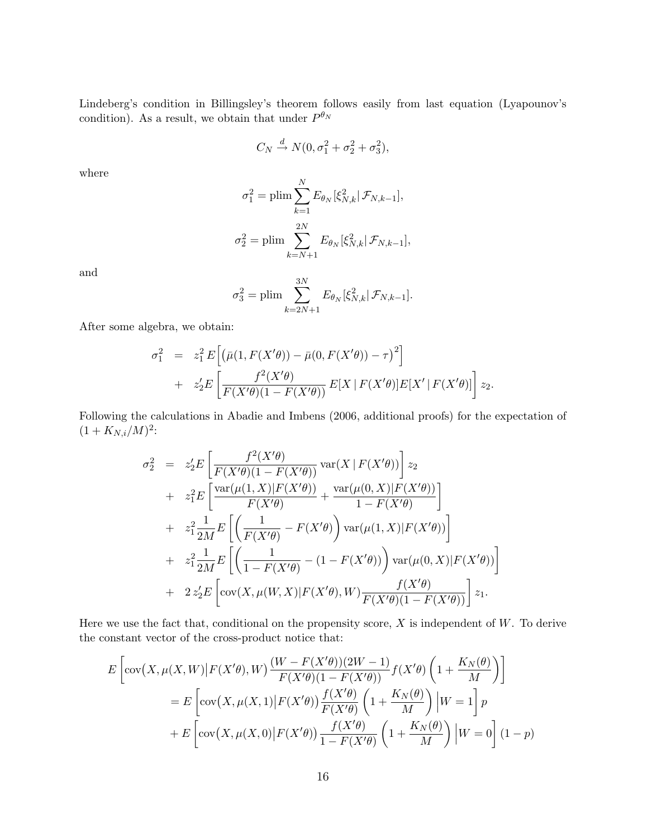Lindeberg's condition in Billingsley's theorem follows easily from last equation (Lyapounov's condition). As a result, we obtain that under  $P^{\theta_N}$ 

$$
C_N \xrightarrow{d} N(0, \sigma_1^2 + \sigma_2^2 + \sigma_3^2),
$$

where

$$
\sigma_1^2 = \text{plim} \sum_{k=1}^N E_{\theta_N} [\xi_{N,k}^2 | \mathcal{F}_{N,k-1}],
$$
  

$$
\sigma_2^2 = \text{plim} \sum_{k=N+1}^{2N} E_{\theta_N} [\xi_{N,k}^2 | \mathcal{F}_{N,k-1}],
$$

and

$$
\sigma_3^2 = \text{plim} \sum_{k=2N+1}^{3N} E_{\theta_N}[\xi_{N,k}^2 | \mathcal{F}_{N,k-1}].
$$

After some algebra, we obtain:

$$
\sigma_1^2 = z_1^2 E \Big[ \big( \bar{\mu}(1, F(X' \theta)) - \bar{\mu}(0, F(X' \theta)) - \tau \big)^2 \Big] + z_2' E \Big[ \frac{f^2(X' \theta)}{F(X' \theta)(1 - F(X' \theta))} E[X \mid F(X' \theta)] E[X' \mid F(X' \theta)] \Big] z_2.
$$

Following the calculations in Abadie and Imbens (2006, additional proofs) for the expectation of  $(1 + K_{N,i}/M)^2$ :

$$
\sigma_2^2 = z_2'E \left[ \frac{f^2(X'\theta)}{F(X'\theta)(1 - F(X'\theta))} \text{var}(X \mid F(X'\theta)) \right] z_2 \n+ z_1^2 E \left[ \frac{\text{var}(\mu(1, X) \mid F(X'\theta))}{F(X'\theta)} + \frac{\text{var}(\mu(0, X) \mid F(X'\theta))}{1 - F(X'\theta)} \right] \n+ z_1^2 \frac{1}{2M} E \left[ \left( \frac{1}{F(X'\theta)} - F(X'\theta) \right) \text{var}(\mu(1, X) \mid F(X'\theta)) \right] \n+ z_1^2 \frac{1}{2M} E \left[ \left( \frac{1}{1 - F(X'\theta)} - (1 - F(X'\theta)) \right) \text{var}(\mu(0, X) \mid F(X'\theta)) \right] \n+ 2 z_2'E \left[ \text{cov}(X, \mu(W, X) \mid F(X'\theta), W) \frac{f(X'\theta)}{F(X'\theta)(1 - F(X'\theta))} \right] z_1.
$$

Here we use the fact that, conditional on the propensity score,  $X$  is independent of  $W$ . To derive the constant vector of the cross-product notice that:

$$
E\left[\text{cov}\left(X,\mu(X,W)|F(X'\theta),W\right)\frac{(W-F(X'\theta))(2W-1)}{F(X'\theta)(1-F(X'\theta))}f(X'\theta)\left(1+\frac{K_N(\theta)}{M}\right)\right]
$$

$$
=E\left[\text{cov}\left(X,\mu(X,1)|F(X'\theta)\right)\frac{f(X'\theta)}{F(X'\theta)}\left(1+\frac{K_N(\theta)}{M}\right)|W=1\right]p
$$

$$
+E\left[\text{cov}\left(X,\mu(X,0)|F(X'\theta)\right)\frac{f(X'\theta)}{1-F(X'\theta)}\left(1+\frac{K_N(\theta)}{M}\right)|W=0\right](1-p)
$$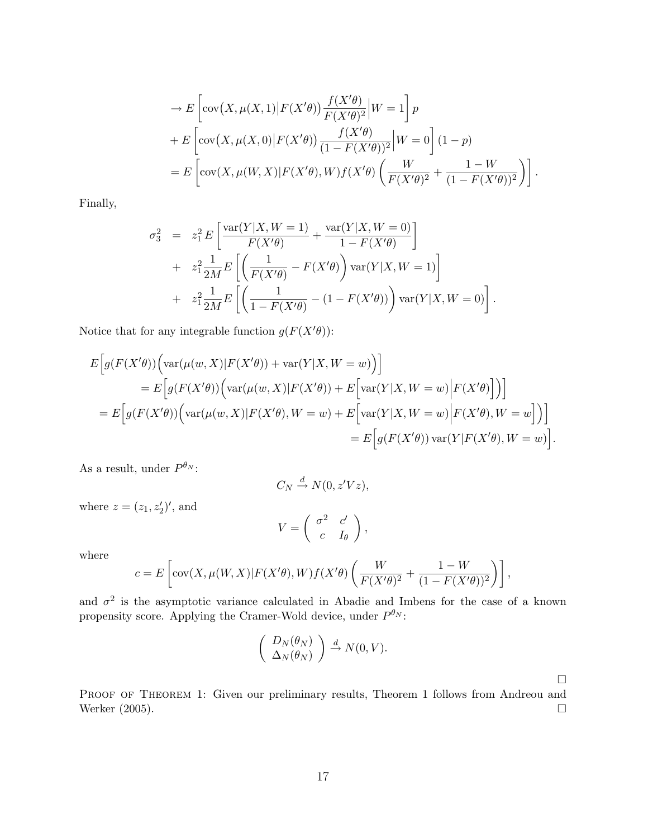$$
\begin{split}\n&\rightarrow E\left[\mathrm{cov}\left(X,\mu(X,1)\middle|F(X'\theta)\right)\frac{f(X'\theta)}{F(X'\theta)^2}\middle|W=1\right]p\\
&+ E\left[\mathrm{cov}\left(X,\mu(X,0)\middle|F(X'\theta)\right)\frac{f(X'\theta)}{(1-F(X'\theta))^2}\middle|W=0\right](1-p)\\
&= E\left[\mathrm{cov}\left(X,\mu(W,X)\middle|F(X'\theta),W\right)f(X'\theta)\left(\frac{W}{F(X'\theta)^2}+\frac{1-W}{(1-F(X'\theta))^2}\right)\right].\n\end{split}
$$

Finally,

$$
\sigma_3^2 = z_1^2 E \left[ \frac{\text{var}(Y|X, W=1)}{F(X'\theta)} + \frac{\text{var}(Y|X, W=0)}{1 - F(X'\theta)} \right] \n+ z_1^2 \frac{1}{2M} E \left[ \left( \frac{1}{F(X'\theta)} - F(X'\theta) \right) \text{var}(Y|X, W=1) \right] \n+ z_1^2 \frac{1}{2M} E \left[ \left( \frac{1}{1 - F(X'\theta)} - (1 - F(X'\theta)) \right) \text{var}(Y|X, W=0) \right].
$$

Notice that for any integrable function  $g(F(X'\theta))$ :

$$
E\Big[g(F(X'\theta))\Big(\text{var}(\mu(w,X)|F(X'\theta)) + \text{var}(Y|X,W=w)\Big)\Big]
$$
  
\n
$$
= E\Big[g(F(X'\theta))\Big(\text{var}(\mu(w,X)|F(X'\theta)) + E\Big[\text{var}(Y|X,W=w)\Big|F(X'\theta)\Big]\Big)\Big]
$$
  
\n
$$
= E\Big[g(F(X'\theta))\Big(\text{var}(\mu(w,X)|F(X'\theta),W=w) + E\Big[\text{var}(Y|X,W=w)\Big|F(X'\theta),W=w\Big]\Big)\Big]
$$
  
\n
$$
= E\Big[g(F(X'\theta))\text{var}(Y|F(X'\theta),W=w)\Big]
$$

As a result, under  $P^{\theta_N}$ :

$$
C_N \stackrel{d}{\to} N(0, z'Vz),
$$

where  $z = (z_1, z'_2)'$ , and

$$
V = \left( \begin{array}{cc} \sigma^2 & c' \\ c & I_{\theta} \end{array} \right),
$$

where

$$
c = E\left[\mathrm{cov}(X,\mu(W,X)|F(X'\theta),W)f(X'\theta)\left(\frac{W}{F(X'\theta)^2} + \frac{1-W}{(1-F(X'\theta))^2}\right)\right],
$$

and  $\sigma^2$  is the asymptotic variance calculated in Abadie and Imbens for the case of a known propensity score. Applying the Cramer-Wold device, under  $P^{\theta_N}$ :

$$
\left(\begin{array}{c}D_N(\theta_N)\\ \Delta_N(\theta_N)\end{array}\right)\stackrel{d}{\to} N(0,V).
$$

 $\hfill \square$ 

.

PROOF OF THEOREM 1: Given our preliminary results, Theorem 1 follows from Andreou and Werker  $(2005)$ .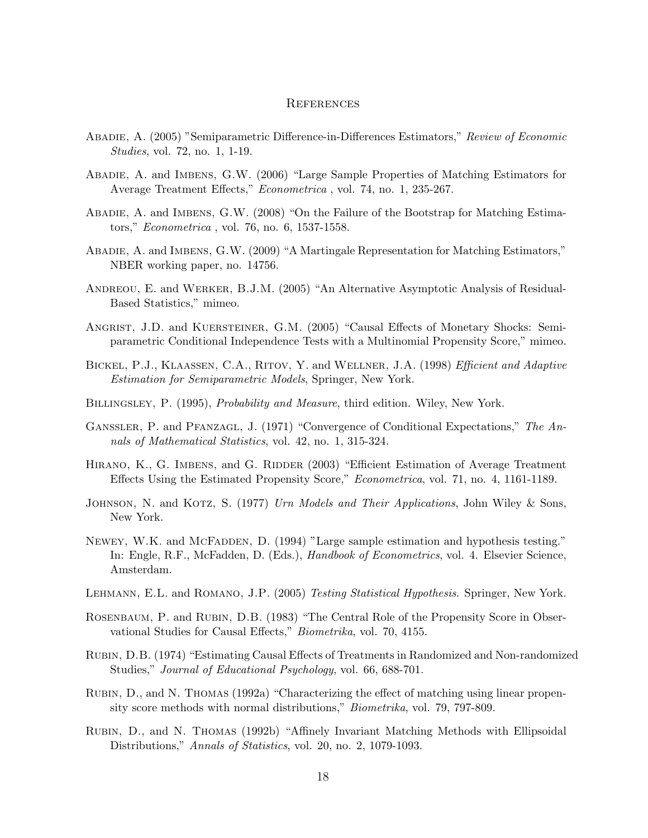### **REFERENCES**

- Abadie, A. (2005) "Semiparametric Difference-in-Differences Estimators," Review of Economic Studies, vol. 72, no. 1, 1-19.
- Abadie, A. and Imbens, G.W. (2006) "Large Sample Properties of Matching Estimators for Average Treatment Effects," Econometrica , vol. 74, no. 1, 235-267.
- Abadie, A. and Imbens, G.W. (2008) "On the Failure of the Bootstrap for Matching Estimators," Econometrica , vol. 76, no. 6, 1537-1558.
- Abadie, A. and Imbens, G.W. (2009) "A Martingale Representation for Matching Estimators," NBER working paper, no. 14756.
- Andreou, E. and Werker, B.J.M. (2005) "An Alternative Asymptotic Analysis of Residual-Based Statistics," mimeo.
- ANGRIST, J.D. and KUERSTEINER, G.M. (2005) "Causal Effects of Monetary Shocks: Semiparametric Conditional Independence Tests with a Multinomial Propensity Score," mimeo.
- BICKEL, P.J., KLAASSEN, C.A., RITOV, Y. and WELLNER, J.A. (1998) Efficient and Adaptive Estimation for Semiparametric Models, Springer, New York.
- BILLINGSLEY, P. (1995), *Probability and Measure*, third edition. Wiley, New York.
- GANSSLER, P. and PFANZAGL, J. (1971) "Convergence of Conditional Expectations," The Annals of Mathematical Statistics, vol. 42, no. 1, 315-324.
- HIRANO, K., G. IMBENS, and G. RIDDER (2003) "Efficient Estimation of Average Treatment Effects Using the Estimated Propensity Score," Econometrica, vol. 71, no. 4, 1161-1189.
- JOHNSON, N. and KOTZ, S. (1977) Urn Models and Their Applications, John Wiley & Sons, New York.
- NEWEY, W.K. and MCFADDEN, D. (1994) "Large sample estimation and hypothesis testing." In: Engle, R.F., McFadden, D. (Eds.), *Handbook of Econometrics*, vol. 4. Elsevier Science, Amsterdam.
- LEHMANN, E.L. and ROMANO, J.P. (2005) Testing Statistical Hypothesis. Springer, New York.
- ROSENBAUM, P. and RUBIN, D.B. (1983) "The Central Role of the Propensity Score in Observational Studies for Causal Effects," Biometrika, vol. 70, 4155.
- Rubin, D.B. (1974) "Estimating Causal Effects of Treatments in Randomized and Non-randomized Studies," Journal of Educational Psychology, vol. 66, 688-701.
- Rubin, D., and N. Thomas (1992a) "Characterizing the effect of matching using linear propensity score methods with normal distributions," *Biometrika*, vol. 79, 797-809.
- Rubin, D., and N. Thomas (1992b) "Affinely Invariant Matching Methods with Ellipsoidal Distributions," Annals of Statistics, vol. 20, no. 2, 1079-1093.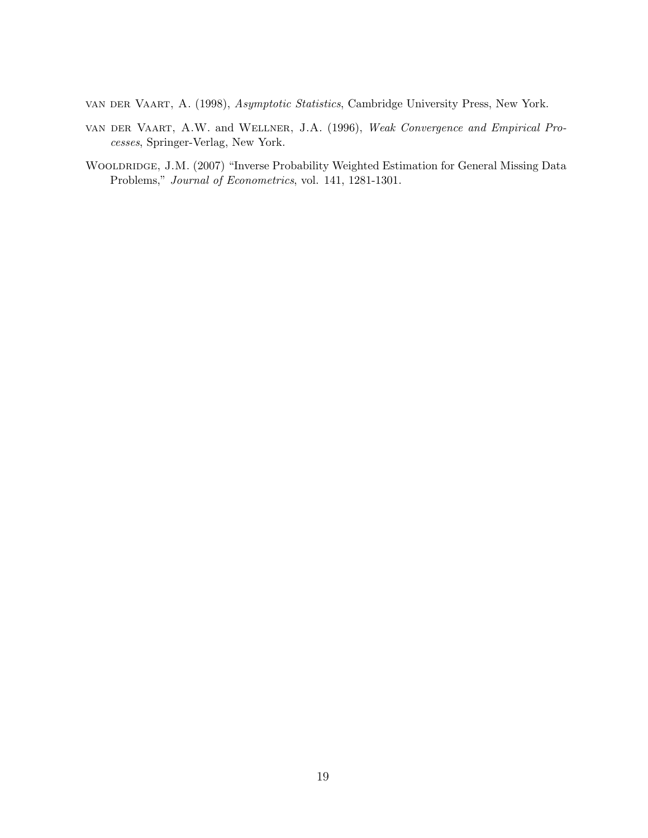van der Vaart, A. (1998), Asymptotic Statistics, Cambridge University Press, New York.

- van der Vaart, A.W. and Wellner, J.A. (1996), Weak Convergence and Empirical Processes, Springer-Verlag, New York.
- WOOLDRIDGE, J.M. (2007) "Inverse Probability Weighted Estimation for General Missing Data Problems," Journal of Econometrics, vol. 141, 1281-1301.